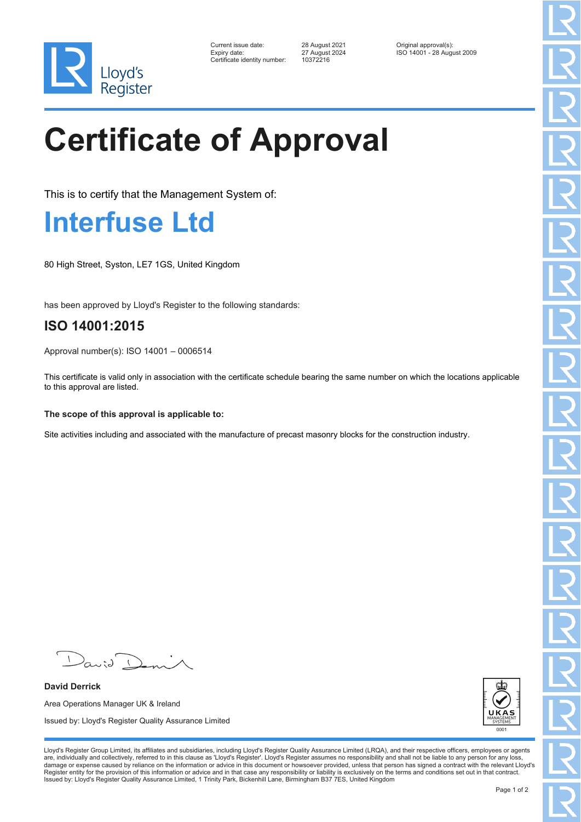

| Current issue date:         |
|-----------------------------|
| Expiry date:                |
| Certificate identity number |

Certificate identity number: 10372216

Current issue date: 28 August 2021 Original approval(s): Expiry date: 27 August 2024 ISO 14001 - 28 August 2009

## **Certificate of Approval**

This is to certify that the Management System of:

## **Interfuse Ltd**

80 High Street, Syston, LE7 1GS, United Kingdom

has been approved by Lloyd's Register to the following standards:

## **ISO 14001:2015**

Approval number(s): ISO 14001 – 0006514

This certificate is valid only in association with the certificate schedule bearing the same number on which the locations applicable to this approval are listed.

**The scope of this approval is applicable to:**

Site activities including and associated with the manufacture of precast masonry blocks for the construction industry.

 $\sqrt{2}$  $a$ 

**David Derrick** Area Operations Manager UK & Ireland Issued by: Lloyd's Register Quality Assurance Limited



Lloyd's Register Group Limited, its affiliates and subsidiaries, including Lloyd's Register Quality Assurance Limited (LRQA), and their respective officers, employees or agents are, individually and collectively, referred to in this clause as 'Lloyd's Register'. Lloyd's Register assumes no responsibility and shall not be liable to any person for any loss,<br>damage or expense caused by reliance on t Register entity for the provision of this information or advice and in that case any responsibility or liability is exclusively on the terms and conditions set out in that contract. Issued by: Lloyd's Register Quality Assurance Limited, 1 Trinity Park, Bickenhill Lane, Birmingham B37 7ES, United Kingdom